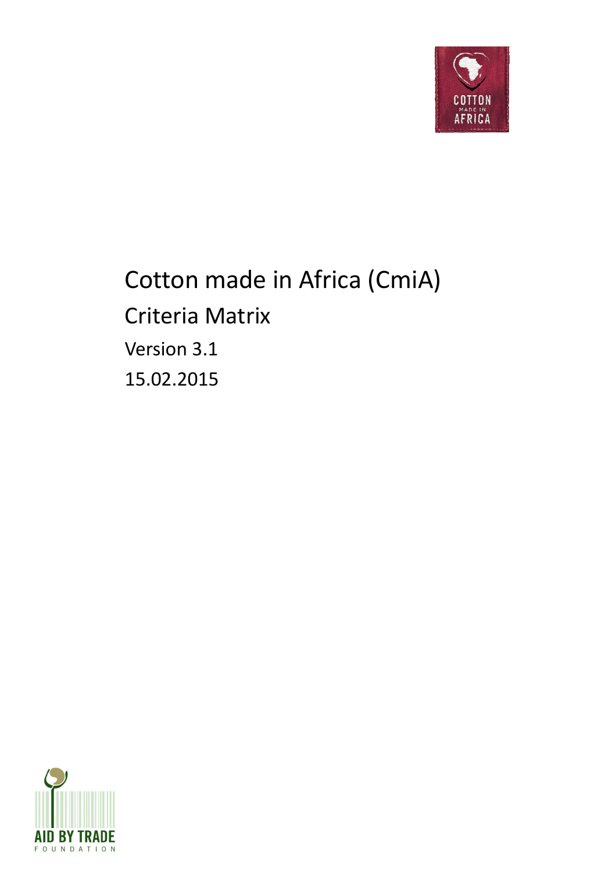

## Cotton made in Africa (CmiA) Criteria Matrix Version 3.1 15.02.2015

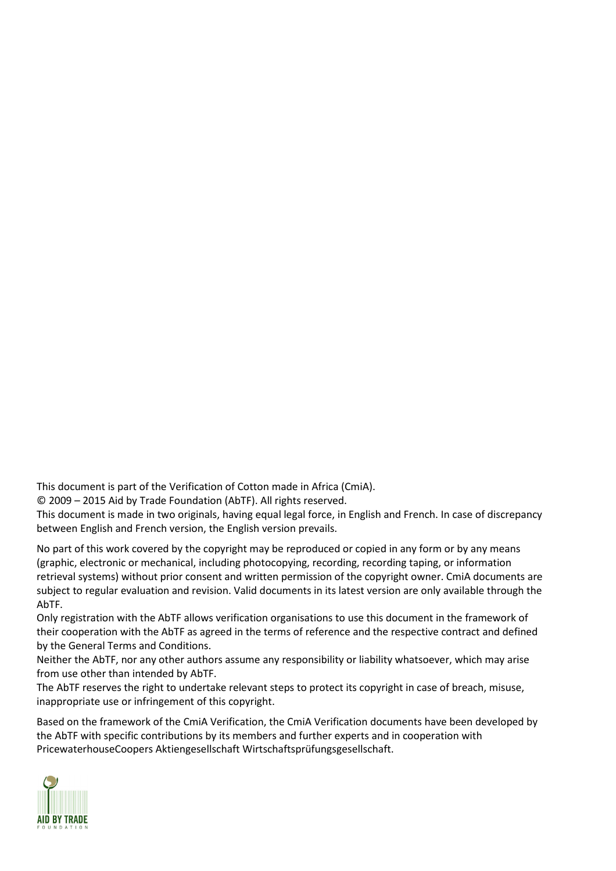This document is part of the Verification of Cotton made in Africa (CmiA).

© 2009 – 2015 Aid by Trade Foundation (AbTF). All rights reserved.

This document is made in two originals, having equal legal force, in English and French. In case of discrepancy between English and French version, the English version prevails.

No part of this work covered by the copyright may be reproduced or copied in any form or by any means (graphic, electronic or mechanical, including photocopying, recording, recording taping, or information retrieval systems) without prior consent and written permission of the copyright owner. CmiA documents are subject to regular evaluation and revision. Valid documents in its latest version are only available through the AbTF.

Only registration with the AbTF allows verification organisations to use this document in the framework of their cooperation with the AbTF as agreed in the terms of reference and the respective contract and defined by the General Terms and Conditions.

Neither the AbTF, nor any other authors assume any responsibility or liability whatsoever, which may arise from use other than intended by AbTF.

The AbTF reserves the right to undertake relevant steps to protect its copyright in case of breach, misuse, inappropriate use or infringement of this copyright.

Based on the framework of the CmiA Verification, the CmiA Verification documents have been developed by the AbTF with specific contributions by its members and further experts and in cooperation with PricewaterhouseCoopers Aktiengesellschaft Wirtschaftsprüfungsgesellschaft.

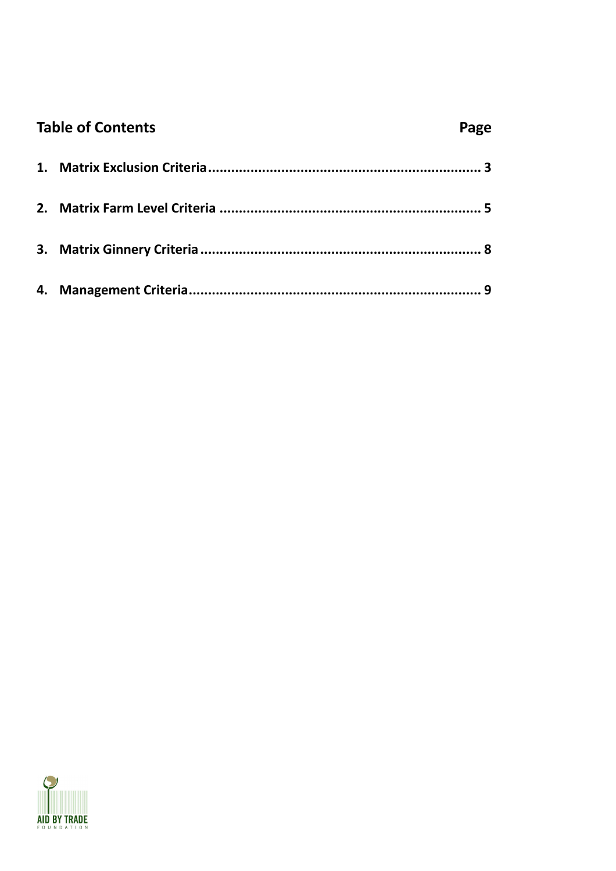| <b>Table of Contents</b> | Page |
|--------------------------|------|
|                          |      |
|                          |      |
|                          |      |
|                          |      |

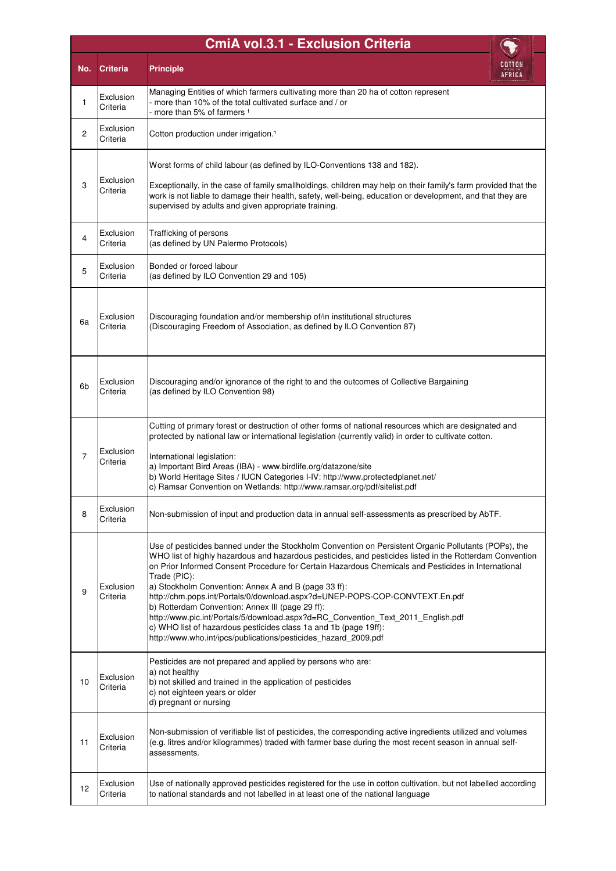|                | <b>CmiA vol.3.1 - Exclusion Criteria</b> |                                                                                                                                                                                                                                                                                                                                                                                                                                                                                                                                                                                                                                                                                                                                                               |  |  |  |  |  |  |
|----------------|------------------------------------------|---------------------------------------------------------------------------------------------------------------------------------------------------------------------------------------------------------------------------------------------------------------------------------------------------------------------------------------------------------------------------------------------------------------------------------------------------------------------------------------------------------------------------------------------------------------------------------------------------------------------------------------------------------------------------------------------------------------------------------------------------------------|--|--|--|--|--|--|
| No.            | <b>Criteria</b>                          | <b>Principle</b><br>AFRICA                                                                                                                                                                                                                                                                                                                                                                                                                                                                                                                                                                                                                                                                                                                                    |  |  |  |  |  |  |
| $\mathbf{1}$   | Exclusion<br>Criteria                    | Managing Entities of which farmers cultivating more than 20 ha of cotton represent<br>more than 10% of the total cultivated surface and / or<br>more than 5% of farmers <sup>1</sup>                                                                                                                                                                                                                                                                                                                                                                                                                                                                                                                                                                          |  |  |  |  |  |  |
| 2              | Exclusion<br>Criteria                    | Cotton production under irrigation. <sup>1</sup>                                                                                                                                                                                                                                                                                                                                                                                                                                                                                                                                                                                                                                                                                                              |  |  |  |  |  |  |
| 3              | Exclusion<br>Criteria                    | Worst forms of child labour (as defined by ILO-Conventions 138 and 182).<br>Exceptionally, in the case of family smallholdings, children may help on their family's farm provided that the<br>work is not liable to damage their health, safety, well-being, education or development, and that they are<br>supervised by adults and given appropriate training.                                                                                                                                                                                                                                                                                                                                                                                              |  |  |  |  |  |  |
| 4              | Exclusion<br>Criteria                    | Trafficking of persons<br>(as defined by UN Palermo Protocols)                                                                                                                                                                                                                                                                                                                                                                                                                                                                                                                                                                                                                                                                                                |  |  |  |  |  |  |
| 5              | Exclusion<br>Criteria                    | Bonded or forced labour<br>(as defined by ILO Convention 29 and 105)                                                                                                                                                                                                                                                                                                                                                                                                                                                                                                                                                                                                                                                                                          |  |  |  |  |  |  |
| 6a             | Exclusion<br>Criteria                    | Discouraging foundation and/or membership of/in institutional structures<br>(Discouraging Freedom of Association, as defined by ILO Convention 87)                                                                                                                                                                                                                                                                                                                                                                                                                                                                                                                                                                                                            |  |  |  |  |  |  |
| 6b             | Exclusion<br>Criteria                    | Discouraging and/or ignorance of the right to and the outcomes of Collective Bargaining<br>(as defined by ILO Convention 98)                                                                                                                                                                                                                                                                                                                                                                                                                                                                                                                                                                                                                                  |  |  |  |  |  |  |
| $\overline{7}$ | Exclusion<br>Criteria                    | Cutting of primary forest or destruction of other forms of national resources which are designated and<br>protected by national law or international legislation (currently valid) in order to cultivate cotton.<br>International legislation:<br>a) Important Bird Areas (IBA) - www.birdlife.org/datazone/site<br>b) World Heritage Sites / IUCN Categories I-IV: http://www.protectedplanet.net/<br>c) Ramsar Convention on Wetlands: http://www.ramsar.org/pdf/sitelist.pdf                                                                                                                                                                                                                                                                               |  |  |  |  |  |  |
| 8              | Exclusion<br>Criteria                    | Non-submission of input and production data in annual self-assessments as prescribed by AbTF.                                                                                                                                                                                                                                                                                                                                                                                                                                                                                                                                                                                                                                                                 |  |  |  |  |  |  |
| 9              | Exclusion<br>Criteria                    | Use of pesticides banned under the Stockholm Convention on Persistent Organic Pollutants (POPs), the<br>WHO list of highly hazardous and hazardous pesticides, and pesticides listed in the Rotterdam Convention<br>on Prior Informed Consent Procedure for Certain Hazardous Chemicals and Pesticides in International<br>Trade (PIC):<br>a) Stockholm Convention: Annex A and B (page 33 ff):<br>http://chm.pops.int/Portals/0/download.aspx?d=UNEP-POPS-COP-CONVTEXT.En.pdf<br>b) Rotterdam Convention: Annex III (page 29 ff):<br>http://www.pic.int/Portals/5/download.aspx?d=RC_Convention_Text_2011_English.pdf<br>c) WHO list of hazardous pesticides class 1a and 1b (page 19ff):<br>http://www.who.int/ipcs/publications/pesticides_hazard_2009.pdf |  |  |  |  |  |  |
| 10             | Exclusion<br>Criteria                    | Pesticides are not prepared and applied by persons who are:<br>a) not healthy<br>b) not skilled and trained in the application of pesticides<br>c) not eighteen years or older<br>d) pregnant or nursing                                                                                                                                                                                                                                                                                                                                                                                                                                                                                                                                                      |  |  |  |  |  |  |
| 11             | Exclusion<br>Criteria                    | Non-submission of verifiable list of pesticides, the corresponding active ingredients utilized and volumes<br>(e.g. litres and/or kilogrammes) traded with farmer base during the most recent season in annual self-<br>assessments.                                                                                                                                                                                                                                                                                                                                                                                                                                                                                                                          |  |  |  |  |  |  |
| 12             | Exclusion<br>Criteria                    | Use of nationally approved pesticides registered for the use in cotton cultivation, but not labelled according<br>to national standards and not labelled in at least one of the national language                                                                                                                                                                                                                                                                                                                                                                                                                                                                                                                                                             |  |  |  |  |  |  |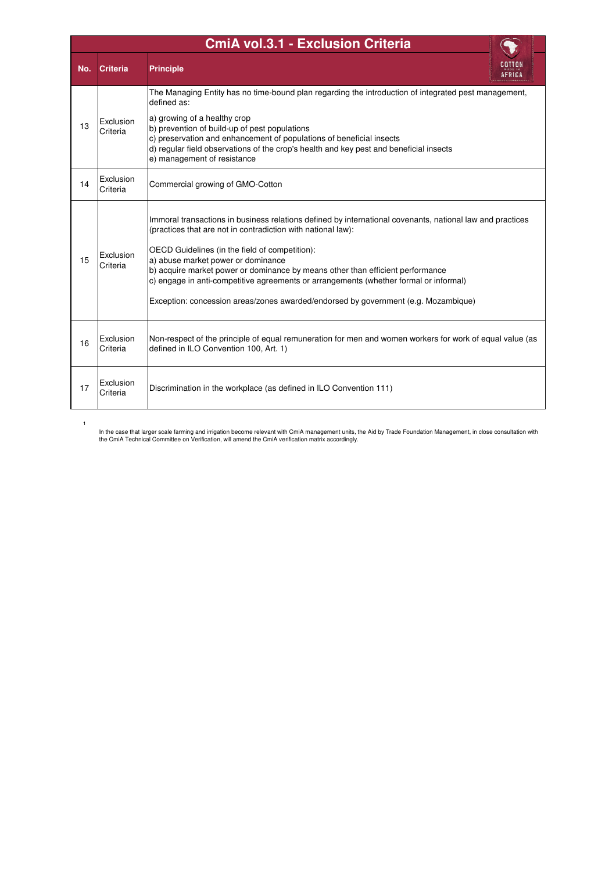|     | <b>CmiA vol.3.1 - Exclusion Criteria</b> |                                                                                                                                                                                                                                                                                                                                                                                                                                                                                                                                    |  |  |  |  |  |  |
|-----|------------------------------------------|------------------------------------------------------------------------------------------------------------------------------------------------------------------------------------------------------------------------------------------------------------------------------------------------------------------------------------------------------------------------------------------------------------------------------------------------------------------------------------------------------------------------------------|--|--|--|--|--|--|
| No. | <b>Criteria</b>                          | <b>Principle</b>                                                                                                                                                                                                                                                                                                                                                                                                                                                                                                                   |  |  |  |  |  |  |
| 13  | Exclusion<br>Criteria                    | The Managing Entity has no time-bound plan regarding the introduction of integrated pest management,<br>defined as:<br>a) growing of a healthy crop<br>b) prevention of build-up of pest populations<br>c) preservation and enhancement of populations of beneficial insects<br>d) regular field observations of the crop's health and key pest and beneficial insects<br>e) management of resistance                                                                                                                              |  |  |  |  |  |  |
| 14  | Exclusion<br>Criteria                    | Commercial growing of GMO-Cotton                                                                                                                                                                                                                                                                                                                                                                                                                                                                                                   |  |  |  |  |  |  |
| 15  | Exclusion<br>Criteria                    | Immoral transactions in business relations defined by international covenants, national law and practices<br>(practices that are not in contradiction with national law):<br>OECD Guidelines (in the field of competition):<br>a) abuse market power or dominance<br>b) acquire market power or dominance by means other than efficient performance<br>c) engage in anti-competitive agreements or arrangements (whether formal or informal)<br>Exception: concession areas/zones awarded/endorsed by government (e.g. Mozambique) |  |  |  |  |  |  |
| 16  | Exclusion<br>Criteria                    | Non-respect of the principle of equal remuneration for men and women workers for work of equal value (as<br>defined in ILO Convention 100, Art. 1)                                                                                                                                                                                                                                                                                                                                                                                 |  |  |  |  |  |  |
| 17  | Exclusion<br>Criteria                    | Discrimination in the workplace (as defined in ILO Convention 111)                                                                                                                                                                                                                                                                                                                                                                                                                                                                 |  |  |  |  |  |  |

 $\mathbf{I}$ 

In the case that larger scale farming and irrigation become relevant with CmiA management units, the Aid by Trade Foundation Management, in close consultation with<br>the CmiA Technical Committee on Verification, will amend t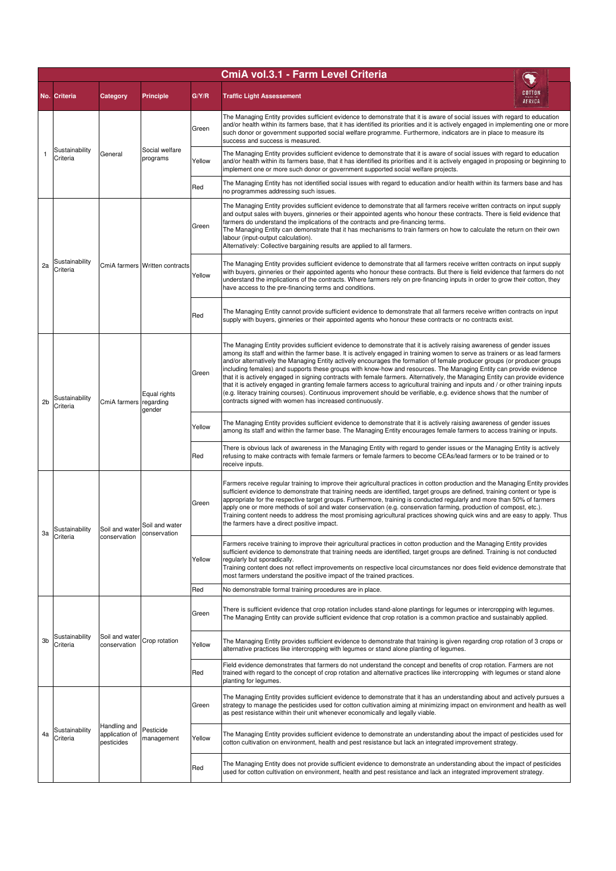|                |                                                          |                                              |                                |        | CmiA vol.3.1 - Farm Level Criteria                                                                                                                                                                                                                                                                                                                                                                                                                                                                                                                                                                                                                                                                                                                                                                                                                                                                                                                                |                                                                                                                                                                                                                                                   |        |                                                                                                                                                                                                                                                                                                                                                                                                                                                                                            |                                                                                                                                                                                                                                                |
|----------------|----------------------------------------------------------|----------------------------------------------|--------------------------------|--------|-------------------------------------------------------------------------------------------------------------------------------------------------------------------------------------------------------------------------------------------------------------------------------------------------------------------------------------------------------------------------------------------------------------------------------------------------------------------------------------------------------------------------------------------------------------------------------------------------------------------------------------------------------------------------------------------------------------------------------------------------------------------------------------------------------------------------------------------------------------------------------------------------------------------------------------------------------------------|---------------------------------------------------------------------------------------------------------------------------------------------------------------------------------------------------------------------------------------------------|--------|--------------------------------------------------------------------------------------------------------------------------------------------------------------------------------------------------------------------------------------------------------------------------------------------------------------------------------------------------------------------------------------------------------------------------------------------------------------------------------------------|------------------------------------------------------------------------------------------------------------------------------------------------------------------------------------------------------------------------------------------------|
|                | No. Criteria                                             | Category                                     | <b>Principle</b>               | G/Y/R  | <b>Traffic Light Assessement</b>                                                                                                                                                                                                                                                                                                                                                                                                                                                                                                                                                                                                                                                                                                                                                                                                                                                                                                                                  | COTTON<br>AFRICA                                                                                                                                                                                                                                  |        |                                                                                                                                                                                                                                                                                                                                                                                                                                                                                            |                                                                                                                                                                                                                                                |
|                | Sustainability<br>Criteria                               |                                              | Social welfare<br>programs     | Green  | The Managing Entity provides sufficient evidence to demonstrate that it is aware of social issues with regard to education<br>and/or health within its farmers base, that it has identified its priorities and it is actively engaged in implementing one or more<br>such donor or government supported social welfare programme. Furthermore, indicators are in place to measure its<br>success and success is measured.                                                                                                                                                                                                                                                                                                                                                                                                                                                                                                                                         |                                                                                                                                                                                                                                                   |        |                                                                                                                                                                                                                                                                                                                                                                                                                                                                                            |                                                                                                                                                                                                                                                |
|                |                                                          | General                                      |                                | Yellow | The Managing Entity provides sufficient evidence to demonstrate that it is aware of social issues with regard to education<br>and/or health within its farmers base, that it has identified its priorities and it is actively engaged in proposing or beginning to<br>implement one or more such donor or government supported social welfare projects.                                                                                                                                                                                                                                                                                                                                                                                                                                                                                                                                                                                                           |                                                                                                                                                                                                                                                   |        |                                                                                                                                                                                                                                                                                                                                                                                                                                                                                            |                                                                                                                                                                                                                                                |
|                |                                                          |                                              |                                | Red    | The Managing Entity has not identified social issues with regard to education and/or health within its farmers base and has<br>no programmes addressing such issues.                                                                                                                                                                                                                                                                                                                                                                                                                                                                                                                                                                                                                                                                                                                                                                                              |                                                                                                                                                                                                                                                   |        |                                                                                                                                                                                                                                                                                                                                                                                                                                                                                            |                                                                                                                                                                                                                                                |
|                | Sustainability<br>Criteria                               |                                              | CmiA farmers Written contracts | Green  | The Managing Entity provides sufficient evidence to demonstrate that all farmers receive written contracts on input supply<br>and output sales with buyers, ginneries or their appointed agents who honour these contracts. There is field evidence that<br>farmers do understand the implications of the contracts and pre-financing terms.<br>The Managing Entity can demonstrate that it has mechanisms to train farmers on how to calculate the return on their own<br>labour (input-output calculation).<br>Alternatively: Collective bargaining results are applied to all farmers.                                                                                                                                                                                                                                                                                                                                                                         |                                                                                                                                                                                                                                                   |        |                                                                                                                                                                                                                                                                                                                                                                                                                                                                                            |                                                                                                                                                                                                                                                |
| 2a             |                                                          |                                              |                                | Yellow | The Managing Entity provides sufficient evidence to demonstrate that all farmers receive written contracts on input supply<br>with buyers, ginneries or their appointed agents who honour these contracts. But there is field evidence that farmers do not<br>understand the implications of the contracts. Where farmers rely on pre-financing inputs in order to grow their cotton, they<br>have access to the pre-financing terms and conditions.                                                                                                                                                                                                                                                                                                                                                                                                                                                                                                              |                                                                                                                                                                                                                                                   |        |                                                                                                                                                                                                                                                                                                                                                                                                                                                                                            |                                                                                                                                                                                                                                                |
|                |                                                          |                                              |                                | Red    | The Managing Entity cannot provide sufficient evidence to demonstrate that all farmers receive written contracts on input<br>supply with buyers, ginneries or their appointed agents who honour these contracts or no contracts exist.                                                                                                                                                                                                                                                                                                                                                                                                                                                                                                                                                                                                                                                                                                                            |                                                                                                                                                                                                                                                   |        |                                                                                                                                                                                                                                                                                                                                                                                                                                                                                            |                                                                                                                                                                                                                                                |
| 2 <sub>b</sub> | Sustainability<br>Criteria                               | CmiA farmers regarding                       | Equal rights<br>gender         | Green  | The Managing Entity provides sufficient evidence to demonstrate that it is actively raising awareness of gender issues<br>among its staff and within the farmer base. It is actively engaged in training women to serve as trainers or as lead farmers<br>and/or alternatively the Managing Entity actively encourages the formation of female producer groups (or producer groups<br>including females) and supports these groups with know-how and resources. The Managing Entity can provide evidence<br>that it is actively engaged in signing contracts with female farmers. Alternatively, the Managing Entity can provide evidence<br>that it is actively engaged in granting female farmers access to agricultural training and inputs and / or other training inputs<br>(e.g. literacy training courses). Continuous improvement should be verifiable, e.g. evidence shows that the number of<br>contracts signed with women has increased continuously. |                                                                                                                                                                                                                                                   |        |                                                                                                                                                                                                                                                                                                                                                                                                                                                                                            |                                                                                                                                                                                                                                                |
|                |                                                          |                                              |                                | Yellow | The Managing Entity provides sufficient evidence to demonstrate that it is actively raising awareness of gender issues<br>among its staff and within the farmer base. The Managing Entity encourages female farmers to access training or inputs.                                                                                                                                                                                                                                                                                                                                                                                                                                                                                                                                                                                                                                                                                                                 |                                                                                                                                                                                                                                                   |        |                                                                                                                                                                                                                                                                                                                                                                                                                                                                                            |                                                                                                                                                                                                                                                |
|                |                                                          |                                              |                                | Red    | There is obvious lack of awareness in the Managing Entity with regard to gender issues or the Managing Entity is actively<br>refusing to make contracts with female farmers or female farmers to become CEAs/lead farmers or to be trained or to<br>receive inputs.                                                                                                                                                                                                                                                                                                                                                                                                                                                                                                                                                                                                                                                                                               |                                                                                                                                                                                                                                                   |        |                                                                                                                                                                                                                                                                                                                                                                                                                                                                                            |                                                                                                                                                                                                                                                |
| За             | Sustainability Soil and water Soil and water<br>Criteria | conservation                                 | conservation                   | Green  | Farmers receive regular training to improve their agricultural practices in cotton production and the Managing Entity provides<br>sufficient evidence to demonstrate that training needs are identified, target groups are defined, training content or type is<br>appropriate for the respective target groups. Furthermore, training is conducted regularly and more than 50% of farmers<br>apply one or more methods of soil and water conservation (e.g. conservation farming, production of compost, etc.).<br>Training content needs to address the most promising agricultural practices showing quick wins and are easy to apply. Thus<br>the farmers have a direct positive impact.                                                                                                                                                                                                                                                                      |                                                                                                                                                                                                                                                   |        |                                                                                                                                                                                                                                                                                                                                                                                                                                                                                            |                                                                                                                                                                                                                                                |
|                |                                                          |                                              |                                |        |                                                                                                                                                                                                                                                                                                                                                                                                                                                                                                                                                                                                                                                                                                                                                                                                                                                                                                                                                                   |                                                                                                                                                                                                                                                   | Yellow | Farmers receive training to improve their agricultural practices in cotton production and the Managing Entity provides<br>sufficient evidence to demonstrate that training needs are identified, target groups are defined. Training is not conducted<br>regularly but sporadically.<br>Training content does not reflect improvements on respective local circumstances nor does field evidence demonstrate that<br>most farmers understand the positive impact of the trained practices. |                                                                                                                                                                                                                                                |
|                |                                                          |                                              |                                | Red    | No demonstrable formal training procedures are in place.                                                                                                                                                                                                                                                                                                                                                                                                                                                                                                                                                                                                                                                                                                                                                                                                                                                                                                          |                                                                                                                                                                                                                                                   |        |                                                                                                                                                                                                                                                                                                                                                                                                                                                                                            |                                                                                                                                                                                                                                                |
|                | Sustainability<br>Criteria                               | Soil and water<br>conservation               |                                |        | Green                                                                                                                                                                                                                                                                                                                                                                                                                                                                                                                                                                                                                                                                                                                                                                                                                                                                                                                                                             | There is sufficient evidence that crop rotation includes stand-alone plantings for legumes or intercropping with legumes.<br>The Managing Entity can provide sufficient evidence that crop rotation is a common practice and sustainably applied. |        |                                                                                                                                                                                                                                                                                                                                                                                                                                                                                            |                                                                                                                                                                                                                                                |
| 3 <sub>b</sub> |                                                          |                                              | Crop rotation                  | Yellow | The Managing Entity provides sufficient evidence to demonstrate that training is given regarding crop rotation of 3 crops or<br>alternative practices like intercropping with legumes or stand alone planting of legumes.                                                                                                                                                                                                                                                                                                                                                                                                                                                                                                                                                                                                                                                                                                                                         |                                                                                                                                                                                                                                                   |        |                                                                                                                                                                                                                                                                                                                                                                                                                                                                                            |                                                                                                                                                                                                                                                |
|                |                                                          |                                              |                                | Red    | Field evidence demonstrates that farmers do not understand the concept and benefits of crop rotation. Farmers are not<br>trained with regard to the concept of crop rotation and alternative practices like intercropping with legumes or stand alone<br>planting for legumes.                                                                                                                                                                                                                                                                                                                                                                                                                                                                                                                                                                                                                                                                                    |                                                                                                                                                                                                                                                   |        |                                                                                                                                                                                                                                                                                                                                                                                                                                                                                            |                                                                                                                                                                                                                                                |
|                | Sustainability<br>Criteria                               | Handling and<br>application of<br>pesticides | Pesticide<br>management        | Green  | The Managing Entity provides sufficient evidence to demonstrate that it has an understanding about and actively pursues a<br>strategy to manage the pesticides used for cotton cultivation aiming at minimizing impact on environment and health as well<br>as pest resistance within their unit whenever economically and legally viable.                                                                                                                                                                                                                                                                                                                                                                                                                                                                                                                                                                                                                        |                                                                                                                                                                                                                                                   |        |                                                                                                                                                                                                                                                                                                                                                                                                                                                                                            |                                                                                                                                                                                                                                                |
| 4a             |                                                          |                                              |                                | Yellow | The Managing Entity provides sufficient evidence to demonstrate an understanding about the impact of pesticides used for<br>cotton cultivation on environment, health and pest resistance but lack an integrated improvement strategy.                                                                                                                                                                                                                                                                                                                                                                                                                                                                                                                                                                                                                                                                                                                            |                                                                                                                                                                                                                                                   |        |                                                                                                                                                                                                                                                                                                                                                                                                                                                                                            |                                                                                                                                                                                                                                                |
|                |                                                          |                                              |                                |        |                                                                                                                                                                                                                                                                                                                                                                                                                                                                                                                                                                                                                                                                                                                                                                                                                                                                                                                                                                   |                                                                                                                                                                                                                                                   |        | Red                                                                                                                                                                                                                                                                                                                                                                                                                                                                                        | The Managing Entity does not provide sufficient evidence to demonstrate an understanding about the impact of pesticides<br>used for cotton cultivation on environment, health and pest resistance and lack an integrated improvement strategy. |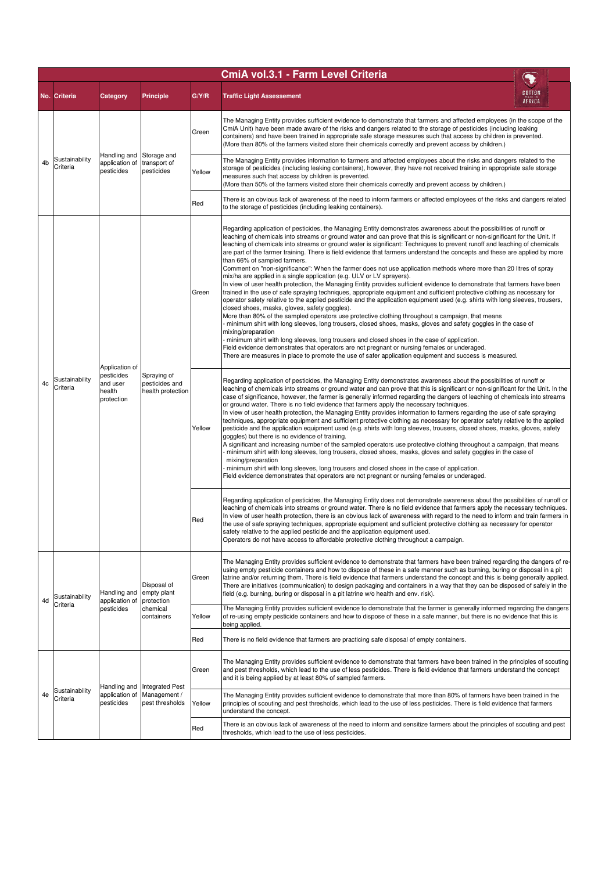|    | CmiA vol.3.1 - Farm Level Criteria |                                                                  |                                                                    |        |                                                                                                                                                                                                                                                                                                                                                                                                                                                                                                                                                                                                                                                                                                                                                                                                                                                                                                                                                                                                                                                                                                                                                                                                                                                                                                                                                                                                                                                                                                                                                                                                                                                                                                                                                   |                  |                                                                                                                                                                                                                                                                                                                                                                                                                                                                                                                                                                                                                                                                                                                                                                                                                                                                                                                                                                                                                                                                                                                                                                                                                                                                                                                                                                                                    |  |  |  |     |                                                                                                                                                                                      |  |  |     |
|----|------------------------------------|------------------------------------------------------------------|--------------------------------------------------------------------|--------|---------------------------------------------------------------------------------------------------------------------------------------------------------------------------------------------------------------------------------------------------------------------------------------------------------------------------------------------------------------------------------------------------------------------------------------------------------------------------------------------------------------------------------------------------------------------------------------------------------------------------------------------------------------------------------------------------------------------------------------------------------------------------------------------------------------------------------------------------------------------------------------------------------------------------------------------------------------------------------------------------------------------------------------------------------------------------------------------------------------------------------------------------------------------------------------------------------------------------------------------------------------------------------------------------------------------------------------------------------------------------------------------------------------------------------------------------------------------------------------------------------------------------------------------------------------------------------------------------------------------------------------------------------------------------------------------------------------------------------------------------|------------------|----------------------------------------------------------------------------------------------------------------------------------------------------------------------------------------------------------------------------------------------------------------------------------------------------------------------------------------------------------------------------------------------------------------------------------------------------------------------------------------------------------------------------------------------------------------------------------------------------------------------------------------------------------------------------------------------------------------------------------------------------------------------------------------------------------------------------------------------------------------------------------------------------------------------------------------------------------------------------------------------------------------------------------------------------------------------------------------------------------------------------------------------------------------------------------------------------------------------------------------------------------------------------------------------------------------------------------------------------------------------------------------------------|--|--|--|-----|--------------------------------------------------------------------------------------------------------------------------------------------------------------------------------------|--|--|-----|
|    | No. Criteria                       | Category                                                         | <b>Principle</b>                                                   | G/Y/R  | <b>Traffic Light Assessement</b>                                                                                                                                                                                                                                                                                                                                                                                                                                                                                                                                                                                                                                                                                                                                                                                                                                                                                                                                                                                                                                                                                                                                                                                                                                                                                                                                                                                                                                                                                                                                                                                                                                                                                                                  | COTTON<br>AFRICA |                                                                                                                                                                                                                                                                                                                                                                                                                                                                                                                                                                                                                                                                                                                                                                                                                                                                                                                                                                                                                                                                                                                                                                                                                                                                                                                                                                                                    |  |  |  |     |                                                                                                                                                                                      |  |  |     |
| 4b | Sustainability<br>Criteria         | Handling and<br>application of<br>pesticides                     |                                                                    | Green  | The Managing Entity provides sufficient evidence to demonstrate that farmers and affected employees (in the scope of the<br>CmiA Unit) have been made aware of the risks and dangers related to the storage of pesticides (including leaking<br>containers) and have been trained in appropriate safe storage measures such that access by children is prevented.<br>(More than 80% of the farmers visited store their chemicals correctly and prevent access by children.)                                                                                                                                                                                                                                                                                                                                                                                                                                                                                                                                                                                                                                                                                                                                                                                                                                                                                                                                                                                                                                                                                                                                                                                                                                                                       |                  |                                                                                                                                                                                                                                                                                                                                                                                                                                                                                                                                                                                                                                                                                                                                                                                                                                                                                                                                                                                                                                                                                                                                                                                                                                                                                                                                                                                                    |  |  |  |     |                                                                                                                                                                                      |  |  |     |
|    |                                    |                                                                  | Storage and<br>transport of<br>pesticides                          | Yellow | The Managing Entity provides information to farmers and affected employees about the risks and dangers related to the<br>storage of pesticides (including leaking containers), however, they have not received training in appropriate safe storage<br>measures such that access by children is prevented.<br>(More than 50% of the farmers visited store their chemicals correctly and prevent access by children.)                                                                                                                                                                                                                                                                                                                                                                                                                                                                                                                                                                                                                                                                                                                                                                                                                                                                                                                                                                                                                                                                                                                                                                                                                                                                                                                              |                  |                                                                                                                                                                                                                                                                                                                                                                                                                                                                                                                                                                                                                                                                                                                                                                                                                                                                                                                                                                                                                                                                                                                                                                                                                                                                                                                                                                                                    |  |  |  |     |                                                                                                                                                                                      |  |  |     |
|    |                                    |                                                                  |                                                                    | Red    | There is an obvious lack of awareness of the need to inform farmers or affected employees of the risks and dangers related<br>to the storage of pesticides (including leaking containers).                                                                                                                                                                                                                                                                                                                                                                                                                                                                                                                                                                                                                                                                                                                                                                                                                                                                                                                                                                                                                                                                                                                                                                                                                                                                                                                                                                                                                                                                                                                                                        |                  |                                                                                                                                                                                                                                                                                                                                                                                                                                                                                                                                                                                                                                                                                                                                                                                                                                                                                                                                                                                                                                                                                                                                                                                                                                                                                                                                                                                                    |  |  |  |     |                                                                                                                                                                                      |  |  |     |
|    |                                    | Application of<br>pesticides<br>and user<br>health<br>protection |                                                                    | Green  | Regarding application of pesticides, the Managing Entity demonstrates awareness about the possibilities of runoff or<br>leaching of chemicals into streams or ground water and can prove that this is significant or non-significant for the Unit. If<br>leaching of chemicals into streams or ground water is significant: Techniques to prevent runoff and leaching of chemicals<br>are part of the farmer training. There is field evidence that farmers understand the concepts and these are applied by more<br>than 66% of sampled farmers.<br>Comment on "non-significance": When the farmer does not use application methods where more than 20 litres of spray<br>mix/ha are applied in a single application (e.g. ULV or LV sprayers).<br>In view of user health protection, the Managing Entity provides sufficient evidence to demonstrate that farmers have been<br>trained in the use of safe spraying techniques, appropriate equipment and sufficient protective clothing as necessary for<br>operator safety relative to the applied pesticide and the application equipment used (e.g. shirts with long sleeves, trousers,<br>closed shoes, masks, gloves, safety goggles).<br>More than 80% of the sampled operators use protective clothing throughout a campaign, that means<br>minimum shirt with long sleeves, long trousers, closed shoes, masks, gloves and safety goggles in the case of<br>mixing/preparation<br>minimum shirt with long sleeves, long trousers and closed shoes in the case of application.<br>Field evidence demonstrates that operators are not pregnant or nursing females or underaged.<br>There are measures in place to promote the use of safer application equipment and success is measured. |                  |                                                                                                                                                                                                                                                                                                                                                                                                                                                                                                                                                                                                                                                                                                                                                                                                                                                                                                                                                                                                                                                                                                                                                                                                                                                                                                                                                                                                    |  |  |  |     |                                                                                                                                                                                      |  |  |     |
| 4c | Sustainability<br>Criteria         |                                                                  | Spraying of<br>pesticides and<br>health protection                 |        |                                                                                                                                                                                                                                                                                                                                                                                                                                                                                                                                                                                                                                                                                                                                                                                                                                                                                                                                                                                                                                                                                                                                                                                                                                                                                                                                                                                                                                                                                                                                                                                                                                                                                                                                                   | Yellow           | Regarding application of pesticides, the Managing Entity demonstrates awareness about the possibilities of runoff or<br>leaching of chemicals into streams or ground water and can prove that this is significant or non-significant for the Unit. In the<br>case of significance, however, the farmer is generally informed regarding the dangers of leaching of chemicals into streams<br>or ground water. There is no field evidence that farmers apply the necessary techniques.<br>In view of user health protection, the Managing Entity provides information to farmers regarding the use of safe spraying<br>techniques, appropriate equipment and sufficient protective clothing as necessary for operator safety relative to the applied<br>pesticide and the application equipment used (e.g. shirts with long sleeves, trousers, closed shoes, masks, gloves, safety<br>goggles) but there is no evidence of training.<br>A significant and increasing number of the sampled operators use protective clothing throughout a campaign, that means<br>minimum shirt with long sleeves, long trousers, closed shoes, masks, gloves and safety goggles in the case of<br>mixing/preparation<br>minimum shirt with long sleeves, long trousers and closed shoes in the case of application.<br>Field evidence demonstrates that operators are not pregnant or nursing females or underaged. |  |  |  |     |                                                                                                                                                                                      |  |  |     |
|    |                                    |                                                                  |                                                                    |        |                                                                                                                                                                                                                                                                                                                                                                                                                                                                                                                                                                                                                                                                                                                                                                                                                                                                                                                                                                                                                                                                                                                                                                                                                                                                                                                                                                                                                                                                                                                                                                                                                                                                                                                                                   |                  |                                                                                                                                                                                                                                                                                                                                                                                                                                                                                                                                                                                                                                                                                                                                                                                                                                                                                                                                                                                                                                                                                                                                                                                                                                                                                                                                                                                                    |  |  |  |     |                                                                                                                                                                                      |  |  | Red |
| 4d | Sustainability<br>Criteria         | Handling and<br>application of<br>pesticides                     | Disposal of<br>empty plant<br>protection<br>chemical<br>containers | Green  | The Managing Entity provides sufficient evidence to demonstrate that farmers have been trained regarding the dangers of re-<br>using empty pesticide containers and how to dispose of these in a safe manner such as burning, buring or disposal in a pit<br>latrine and/or returning them. There is field evidence that farmers understand the concept and this is being generally applied.<br>There are initiatives (communication) to design packaging and containers in a way that they can be disposed of safely in the<br>field (e.g. burning, buring or disposal in a pit latrine w/o health and env. risk).                                                                                                                                                                                                                                                                                                                                                                                                                                                                                                                                                                                                                                                                                                                                                                                                                                                                                                                                                                                                                                                                                                                               |                  |                                                                                                                                                                                                                                                                                                                                                                                                                                                                                                                                                                                                                                                                                                                                                                                                                                                                                                                                                                                                                                                                                                                                                                                                                                                                                                                                                                                                    |  |  |  |     |                                                                                                                                                                                      |  |  |     |
|    |                                    |                                                                  |                                                                    | Yellow | The Managing Entity provides sufficient evidence to demonstrate that the farmer is generally informed regarding the dangers<br>of re-using empty pesticide containers and how to dispose of these in a safe manner, but there is no evidence that this is<br>being applied.                                                                                                                                                                                                                                                                                                                                                                                                                                                                                                                                                                                                                                                                                                                                                                                                                                                                                                                                                                                                                                                                                                                                                                                                                                                                                                                                                                                                                                                                       |                  |                                                                                                                                                                                                                                                                                                                                                                                                                                                                                                                                                                                                                                                                                                                                                                                                                                                                                                                                                                                                                                                                                                                                                                                                                                                                                                                                                                                                    |  |  |  |     |                                                                                                                                                                                      |  |  |     |
|    |                                    |                                                                  |                                                                    | Red    | There is no field evidence that farmers are practicing safe disposal of empty containers.                                                                                                                                                                                                                                                                                                                                                                                                                                                                                                                                                                                                                                                                                                                                                                                                                                                                                                                                                                                                                                                                                                                                                                                                                                                                                                                                                                                                                                                                                                                                                                                                                                                         |                  |                                                                                                                                                                                                                                                                                                                                                                                                                                                                                                                                                                                                                                                                                                                                                                                                                                                                                                                                                                                                                                                                                                                                                                                                                                                                                                                                                                                                    |  |  |  |     |                                                                                                                                                                                      |  |  |     |
|    | Sustainability<br>Criteria         | Handling and                                                     | <b>Integrated Pest</b>                                             | Green  | The Managing Entity provides sufficient evidence to demonstrate that farmers have been trained in the principles of scouting<br>and pest thresholds, which lead to the use of less pesticides. There is field evidence that farmers understand the concept<br>and it is being applied by at least 80% of sampled farmers.                                                                                                                                                                                                                                                                                                                                                                                                                                                                                                                                                                                                                                                                                                                                                                                                                                                                                                                                                                                                                                                                                                                                                                                                                                                                                                                                                                                                                         |                  |                                                                                                                                                                                                                                                                                                                                                                                                                                                                                                                                                                                                                                                                                                                                                                                                                                                                                                                                                                                                                                                                                                                                                                                                                                                                                                                                                                                                    |  |  |  |     |                                                                                                                                                                                      |  |  |     |
| 4e |                                    | application of<br>pesticides                                     | Management /<br>pest thresholds                                    | Yellow | The Managing Entity provides sufficient evidence to demonstrate that more than 80% of farmers have been trained in the<br>principles of scouting and pest thresholds, which lead to the use of less pesticides. There is field evidence that farmers<br>understand the concept.                                                                                                                                                                                                                                                                                                                                                                                                                                                                                                                                                                                                                                                                                                                                                                                                                                                                                                                                                                                                                                                                                                                                                                                                                                                                                                                                                                                                                                                                   |                  |                                                                                                                                                                                                                                                                                                                                                                                                                                                                                                                                                                                                                                                                                                                                                                                                                                                                                                                                                                                                                                                                                                                                                                                                                                                                                                                                                                                                    |  |  |  |     |                                                                                                                                                                                      |  |  |     |
|    |                                    |                                                                  |                                                                    |        |                                                                                                                                                                                                                                                                                                                                                                                                                                                                                                                                                                                                                                                                                                                                                                                                                                                                                                                                                                                                                                                                                                                                                                                                                                                                                                                                                                                                                                                                                                                                                                                                                                                                                                                                                   |                  |                                                                                                                                                                                                                                                                                                                                                                                                                                                                                                                                                                                                                                                                                                                                                                                                                                                                                                                                                                                                                                                                                                                                                                                                                                                                                                                                                                                                    |  |  |  | Red | There is an obvious lack of awareness of the need to inform and sensitize farmers about the principles of scouting and pest<br>thresholds, which lead to the use of less pesticides. |  |  |     |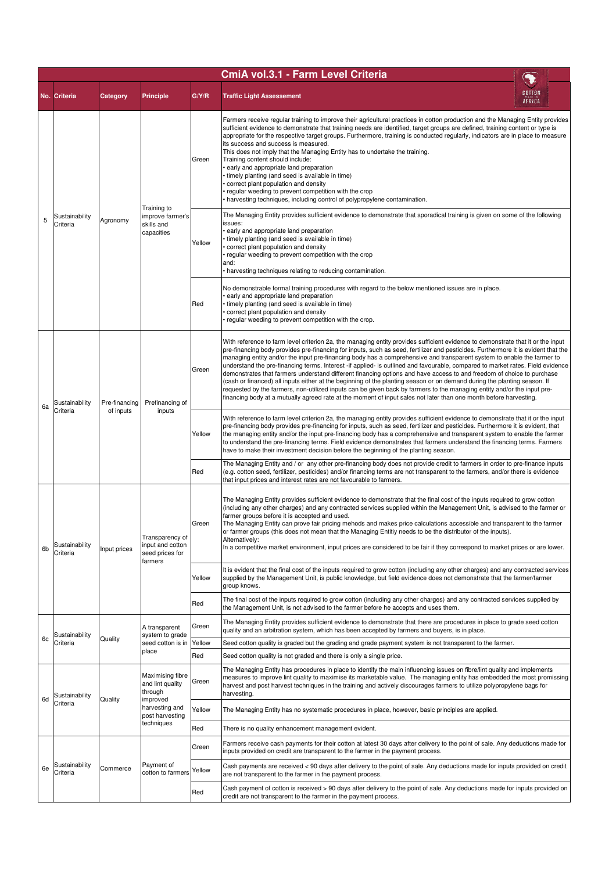| CmiA vol.3.1 - Farm Level Criteria |                            |               |                                                                                                                                              |        |                                                                                                                                                                                                                                                                                                                                                                                                                                                                                                                                                                                                                                                                                                                                                                                                                                                                                                                                                                                                                                       |                  |                                                                                                                                                                                                                                                                                                                                                                                                                                                                                                                                                                                                                                                                                                                                                                                                                                         |     |                                                                                                                                                                                                  |                                                                                                                                                                                                                  |  |         |        |                                                                                                                                                                                                                                                                           |  |  |
|------------------------------------|----------------------------|---------------|----------------------------------------------------------------------------------------------------------------------------------------------|--------|---------------------------------------------------------------------------------------------------------------------------------------------------------------------------------------------------------------------------------------------------------------------------------------------------------------------------------------------------------------------------------------------------------------------------------------------------------------------------------------------------------------------------------------------------------------------------------------------------------------------------------------------------------------------------------------------------------------------------------------------------------------------------------------------------------------------------------------------------------------------------------------------------------------------------------------------------------------------------------------------------------------------------------------|------------------|-----------------------------------------------------------------------------------------------------------------------------------------------------------------------------------------------------------------------------------------------------------------------------------------------------------------------------------------------------------------------------------------------------------------------------------------------------------------------------------------------------------------------------------------------------------------------------------------------------------------------------------------------------------------------------------------------------------------------------------------------------------------------------------------------------------------------------------------|-----|--------------------------------------------------------------------------------------------------------------------------------------------------------------------------------------------------|------------------------------------------------------------------------------------------------------------------------------------------------------------------------------------------------------------------|--|---------|--------|---------------------------------------------------------------------------------------------------------------------------------------------------------------------------------------------------------------------------------------------------------------------------|--|--|
|                                    | No. Criteria               | Category      | <b>Principle</b>                                                                                                                             | G/Y/R  | <b>Traffic Light Assessement</b>                                                                                                                                                                                                                                                                                                                                                                                                                                                                                                                                                                                                                                                                                                                                                                                                                                                                                                                                                                                                      | COTTON<br>AFRICA |                                                                                                                                                                                                                                                                                                                                                                                                                                                                                                                                                                                                                                                                                                                                                                                                                                         |     |                                                                                                                                                                                                  |                                                                                                                                                                                                                  |  |         |        |                                                                                                                                                                                                                                                                           |  |  |
| 5                                  | Sustainability<br>Criteria |               |                                                                                                                                              |        |                                                                                                                                                                                                                                                                                                                                                                                                                                                                                                                                                                                                                                                                                                                                                                                                                                                                                                                                                                                                                                       | Green            | Farmers receive regular training to improve their agricultural practices in cotton production and the Managing Entity provides<br>sufficient evidence to demonstrate that training needs are identified, target groups are defined, training content or type is<br>appropriate for the respective target groups. Furthermore, training is conducted regularly, indicators are in place to measure<br>its success and success is measured.<br>This does not imply that the Managing Entity has to undertake the training.<br>Training content should include:<br>early and appropriate land preparation<br>• timely planting (and seed is available in time)<br>correct plant population and density<br>regular weeding to prevent competition with the crop<br>harvesting techniques, including control of polypropylene contamination. |     |                                                                                                                                                                                                  |                                                                                                                                                                                                                  |  |         |        |                                                                                                                                                                                                                                                                           |  |  |
|                                    |                            | Agronomy      | Training to<br>improve farmer's<br>skills and<br>capacities                                                                                  | Yellow | The Managing Entity provides sufficient evidence to demonstrate that sporadical training is given on some of the following<br>issues:<br>· early and appropriate land preparation<br>timely planting (and seed is available in time)<br>• correct plant population and density<br>• regular weeding to prevent competition with the crop<br>and:<br>• harvesting techniques relating to reducing contamination.                                                                                                                                                                                                                                                                                                                                                                                                                                                                                                                                                                                                                       |                  |                                                                                                                                                                                                                                                                                                                                                                                                                                                                                                                                                                                                                                                                                                                                                                                                                                         |     |                                                                                                                                                                                                  |                                                                                                                                                                                                                  |  |         |        |                                                                                                                                                                                                                                                                           |  |  |
|                                    |                            |               |                                                                                                                                              | Red    | No demonstrable formal training procedures with regard to the below mentioned issues are in place.<br>· early and appropriate land preparation<br>timely planting (and seed is available in time)<br>correct plant population and density<br>regular weeding to prevent competition with the crop.                                                                                                                                                                                                                                                                                                                                                                                                                                                                                                                                                                                                                                                                                                                                    |                  |                                                                                                                                                                                                                                                                                                                                                                                                                                                                                                                                                                                                                                                                                                                                                                                                                                         |     |                                                                                                                                                                                                  |                                                                                                                                                                                                                  |  |         |        |                                                                                                                                                                                                                                                                           |  |  |
| 6a                                 | Sustainability<br>Criteria | Pre-financing | Prefinancing of<br>inputs                                                                                                                    | Green  | With reference to farm level criterion 2a, the managing entity provides sufficient evidence to demonstrate that it or the input<br>pre-financing body provides pre-financing for inputs, such as seed, fertilizer and pesticides. Furthermore it is evident that the<br>managing entity and/or the input pre-financing body has a comprehensive and transparent system to enable the farmer to<br>understand the pre-financing terms. Interest -if applied- is outlined and favourable, compared to market rates. Field evidence<br>demonstrates that farmers understand different financing options and have access to and freedom of choice to purchase<br>(cash or financed) all inputs either at the beginning of the planting season or on demand during the planting season. If<br>requested by the farmers, non-utilized inputs can be given back by farmers to the managing entity and/or the input pre-<br>financing body at a mutually agreed rate at the moment of input sales not later than one month before harvesting. |                  |                                                                                                                                                                                                                                                                                                                                                                                                                                                                                                                                                                                                                                                                                                                                                                                                                                         |     |                                                                                                                                                                                                  |                                                                                                                                                                                                                  |  |         |        |                                                                                                                                                                                                                                                                           |  |  |
|                                    |                            | of inputs     |                                                                                                                                              | Yellow | With reference to farm level criterion 2a, the managing entity provides sufficient evidence to demonstrate that it or the input<br>pre-financing body provides pre-financing for inputs, such as seed, fertilizer and pesticides. Furthermore it is evident, that<br>the managing entity and/or the input pre-financing body has a comprehensive and transparent system to enable the farmer<br>to understand the pre-financing terms. Field evidence demonstrates that farmers understand the financing terms. Farmers<br>have to make their investment decision before the beginning of the planting season.                                                                                                                                                                                                                                                                                                                                                                                                                        |                  |                                                                                                                                                                                                                                                                                                                                                                                                                                                                                                                                                                                                                                                                                                                                                                                                                                         |     |                                                                                                                                                                                                  |                                                                                                                                                                                                                  |  |         |        |                                                                                                                                                                                                                                                                           |  |  |
|                                    |                            |               |                                                                                                                                              | Red    | The Managing Entity and / or any other pre-financing body does not provide credit to farmers in order to pre-finance inputs<br>(e.g. cotton seed, fertilizer, pesticides) and/or financing terms are not transparent to the farmers, and/or there is evidence<br>that input prices and interest rates are not favourable to farmers.                                                                                                                                                                                                                                                                                                                                                                                                                                                                                                                                                                                                                                                                                                  |                  |                                                                                                                                                                                                                                                                                                                                                                                                                                                                                                                                                                                                                                                                                                                                                                                                                                         |     |                                                                                                                                                                                                  |                                                                                                                                                                                                                  |  |         |        |                                                                                                                                                                                                                                                                           |  |  |
| 6b                                 | Sustainability<br>Criteria | Input prices  | Transparency of<br>input and cotton<br>seed prices for                                                                                       | Green  | The Managing Entity provides sufficient evidence to demonstrate that the final cost of the inputs required to grow cotton<br>(including any other charges) and any contracted services supplied within the Management Unit, is advised to the farmer or<br>farmer groups before it is accepted and used.<br>The Managing Entity can prove fair pricing mehods and makes price calculations accessible and transparent to the farmer<br>or farmer groups (this does not mean that the Managing Entitiy needs to be the distributor of the inputs).<br>Alternatively:<br>In a competitive market environment, input prices are considered to be fair if they correspond to market prices or are lower.                                                                                                                                                                                                                                                                                                                                  |                  |                                                                                                                                                                                                                                                                                                                                                                                                                                                                                                                                                                                                                                                                                                                                                                                                                                         |     |                                                                                                                                                                                                  |                                                                                                                                                                                                                  |  |         |        |                                                                                                                                                                                                                                                                           |  |  |
|                                    |                            |               |                                                                                                                                              |        |                                                                                                                                                                                                                                                                                                                                                                                                                                                                                                                                                                                                                                                                                                                                                                                                                                                                                                                                                                                                                                       |                  |                                                                                                                                                                                                                                                                                                                                                                                                                                                                                                                                                                                                                                                                                                                                                                                                                                         |     |                                                                                                                                                                                                  |                                                                                                                                                                                                                  |  | farmers | Yellow | It is evident that the final cost of the inputs required to grow cotton (including any other charges) and any contracted services<br>supplied by the Management Unit, is public knowledge, but field evidence does not demonstrate that the farmer/farmer<br>group knows. |  |  |
|                                    |                            |               |                                                                                                                                              |        |                                                                                                                                                                                                                                                                                                                                                                                                                                                                                                                                                                                                                                                                                                                                                                                                                                                                                                                                                                                                                                       |                  |                                                                                                                                                                                                                                                                                                                                                                                                                                                                                                                                                                                                                                                                                                                                                                                                                                         |     | Red                                                                                                                                                                                              | The final cost of the inputs required to grow cotton (including any other charges) and any contracted services supplied by<br>the Management Unit, is not advised to the farmer before he accepts and uses them. |  |         |        |                                                                                                                                                                                                                                                                           |  |  |
|                                    | Sustainability             |               | A transparent<br>system to grade                                                                                                             | Green  | The Managing Entity provides sufficient evidence to demonstrate that there are procedures in place to grade seed cotton<br>quality and an arbitration system, which has been accepted by farmers and buyers, is in place.                                                                                                                                                                                                                                                                                                                                                                                                                                                                                                                                                                                                                                                                                                                                                                                                             |                  |                                                                                                                                                                                                                                                                                                                                                                                                                                                                                                                                                                                                                                                                                                                                                                                                                                         |     |                                                                                                                                                                                                  |                                                                                                                                                                                                                  |  |         |        |                                                                                                                                                                                                                                                                           |  |  |
| 6c                                 | Criteria                   | Quality       | seed cotton is in<br>place<br>Maximising fibre<br>and lint quality<br>through<br>improved<br>harvesting and<br>post harvesting<br>techniques | Yellow | Seed cotton quality is graded but the grading and grade payment system is not transparent to the farmer.                                                                                                                                                                                                                                                                                                                                                                                                                                                                                                                                                                                                                                                                                                                                                                                                                                                                                                                              |                  |                                                                                                                                                                                                                                                                                                                                                                                                                                                                                                                                                                                                                                                                                                                                                                                                                                         |     |                                                                                                                                                                                                  |                                                                                                                                                                                                                  |  |         |        |                                                                                                                                                                                                                                                                           |  |  |
|                                    |                            |               |                                                                                                                                              | Red    | Seed cotton quality is not graded and there is only a single price.                                                                                                                                                                                                                                                                                                                                                                                                                                                                                                                                                                                                                                                                                                                                                                                                                                                                                                                                                                   |                  |                                                                                                                                                                                                                                                                                                                                                                                                                                                                                                                                                                                                                                                                                                                                                                                                                                         |     |                                                                                                                                                                                                  |                                                                                                                                                                                                                  |  |         |        |                                                                                                                                                                                                                                                                           |  |  |
| 6d                                 | Sustainability<br>Criteria | Quality       |                                                                                                                                              | Green  | The Managing Entity has procedures in place to identify the main influencing issues on fibre/lint quality and implements<br>measures to improve lint quality to maximise its marketable value. The managing entity has embedded the most promissing<br>harvest and post harvest techniques in the training and actively discourages farmers to utilize polypropylene bags for<br>harvesting.                                                                                                                                                                                                                                                                                                                                                                                                                                                                                                                                                                                                                                          |                  |                                                                                                                                                                                                                                                                                                                                                                                                                                                                                                                                                                                                                                                                                                                                                                                                                                         |     |                                                                                                                                                                                                  |                                                                                                                                                                                                                  |  |         |        |                                                                                                                                                                                                                                                                           |  |  |
|                                    |                            |               |                                                                                                                                              | Yellow | The Managing Entity has no systematic procedures in place, however, basic principles are applied.                                                                                                                                                                                                                                                                                                                                                                                                                                                                                                                                                                                                                                                                                                                                                                                                                                                                                                                                     |                  |                                                                                                                                                                                                                                                                                                                                                                                                                                                                                                                                                                                                                                                                                                                                                                                                                                         |     |                                                                                                                                                                                                  |                                                                                                                                                                                                                  |  |         |        |                                                                                                                                                                                                                                                                           |  |  |
|                                    |                            |               |                                                                                                                                              | Red    | There is no quality enhancement management evident.                                                                                                                                                                                                                                                                                                                                                                                                                                                                                                                                                                                                                                                                                                                                                                                                                                                                                                                                                                                   |                  |                                                                                                                                                                                                                                                                                                                                                                                                                                                                                                                                                                                                                                                                                                                                                                                                                                         |     |                                                                                                                                                                                                  |                                                                                                                                                                                                                  |  |         |        |                                                                                                                                                                                                                                                                           |  |  |
| 6e                                 | Sustainability<br>Criteria | Commerce      | Payment of<br>cotton to farmers                                                                                                              | Green  | Farmers receive cash payments for their cotton at latest 30 days after delivery to the point of sale. Any deductions made for<br>inputs provided on credit are transparent to the farmer in the payment process.                                                                                                                                                                                                                                                                                                                                                                                                                                                                                                                                                                                                                                                                                                                                                                                                                      |                  |                                                                                                                                                                                                                                                                                                                                                                                                                                                                                                                                                                                                                                                                                                                                                                                                                                         |     |                                                                                                                                                                                                  |                                                                                                                                                                                                                  |  |         |        |                                                                                                                                                                                                                                                                           |  |  |
|                                    |                            |               |                                                                                                                                              | Yellow | Cash payments are received < 90 days after delivery to the point of sale. Any deductions made for inputs provided on credit<br>are not transparent to the farmer in the payment process.                                                                                                                                                                                                                                                                                                                                                                                                                                                                                                                                                                                                                                                                                                                                                                                                                                              |                  |                                                                                                                                                                                                                                                                                                                                                                                                                                                                                                                                                                                                                                                                                                                                                                                                                                         |     |                                                                                                                                                                                                  |                                                                                                                                                                                                                  |  |         |        |                                                                                                                                                                                                                                                                           |  |  |
|                                    |                            |               |                                                                                                                                              |        |                                                                                                                                                                                                                                                                                                                                                                                                                                                                                                                                                                                                                                                                                                                                                                                                                                                                                                                                                                                                                                       |                  |                                                                                                                                                                                                                                                                                                                                                                                                                                                                                                                                                                                                                                                                                                                                                                                                                                         | Red | Cash payment of cotton is received > 90 days after delivery to the point of sale. Any deductions made for inputs provided on<br>credit are not transparent to the farmer in the payment process. |                                                                                                                                                                                                                  |  |         |        |                                                                                                                                                                                                                                                                           |  |  |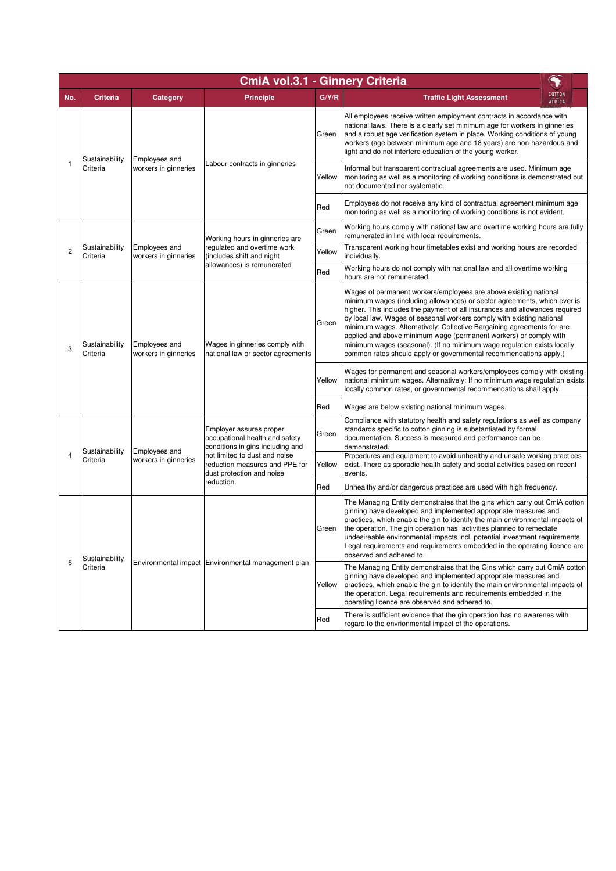|                | CmiA vol.3.1 - Ginnery Criteria |                                       |                                                                                                                                                                                                             |        |                                                                                                                                                                                                                                                                                                                                                                                                                                                                                                                                                                                                     |  |  |  |  |
|----------------|---------------------------------|---------------------------------------|-------------------------------------------------------------------------------------------------------------------------------------------------------------------------------------------------------------|--------|-----------------------------------------------------------------------------------------------------------------------------------------------------------------------------------------------------------------------------------------------------------------------------------------------------------------------------------------------------------------------------------------------------------------------------------------------------------------------------------------------------------------------------------------------------------------------------------------------------|--|--|--|--|
| No.            | <b>Criteria</b>                 | Category                              | <b>Principle</b>                                                                                                                                                                                            | G/Y/R  | <b>COTTON</b><br><b>Traffic Light Assessment</b><br>AFRICA                                                                                                                                                                                                                                                                                                                                                                                                                                                                                                                                          |  |  |  |  |
|                | Sustainability<br>Criteria      | Employees and<br>workers in ginneries | Labour contracts in ginneries                                                                                                                                                                               | Green  | All employees receive written employment contracts in accordance with<br>national laws. There is a clearly set minimum age for workers in ginneries<br>and a robust age verification system in place. Working conditions of young<br>workers (age between minimum age and 18 years) are non-hazardous and<br>light and do not interfere education of the young worker.                                                                                                                                                                                                                              |  |  |  |  |
| 1              |                                 |                                       |                                                                                                                                                                                                             | Yellow | Informal but transparent contractual agreements are used. Minimum age<br>monitoring as well as a monitoring of working conditions is demonstrated but<br>not documented nor systematic.                                                                                                                                                                                                                                                                                                                                                                                                             |  |  |  |  |
|                |                                 |                                       |                                                                                                                                                                                                             | Red    | Employees do not receive any kind of contractual agreement minimum age<br>monitoring as well as a monitoring of working conditions is not evident.                                                                                                                                                                                                                                                                                                                                                                                                                                                  |  |  |  |  |
|                |                                 |                                       | Working hours in ginneries are                                                                                                                                                                              | Green  | Working hours comply with national law and overtime working hours are fully<br>remunerated in line with local requirements.                                                                                                                                                                                                                                                                                                                                                                                                                                                                         |  |  |  |  |
| 2              | Sustainability<br>Criteria      | Employees and<br>workers in ginneries | regulated and overtime work<br>(includes shift and night                                                                                                                                                    | Yellow | Transparent working hour timetables exist and working hours are recorded<br>individually.                                                                                                                                                                                                                                                                                                                                                                                                                                                                                                           |  |  |  |  |
|                |                                 |                                       | allowances) is remunerated                                                                                                                                                                                  | Red    | Working hours do not comply with national law and all overtime working<br>hours are not remunerated.                                                                                                                                                                                                                                                                                                                                                                                                                                                                                                |  |  |  |  |
| 3              | Sustainability<br>Criteria      | Employees and<br>workers in ginneries | Wages in ginneries comply with<br>national law or sector agreements                                                                                                                                         | Green  | Wages of permanent workers/employees are above existing national<br>minimum wages (including allowances) or sector agreements, which ever is<br>higher. This includes the payment of all insurances and allowances required<br>by local law. Wages of seasonal workers comply with existing national<br>minimum wages. Alternatively: Collective Bargaining agreements for are<br>applied and above minimum wage (permanent workers) or comply with<br>minimum wages (seasonal). (If no minimum wage regulation exists locally<br>common rates should apply or governmental recommendations apply.) |  |  |  |  |
|                |                                 |                                       |                                                                                                                                                                                                             | Yellow | Wages for permanent and seasonal workers/employees comply with existing<br>national minimum wages. Alternatively: If no minimum wage regulation exists<br>locally common rates, or governmental recommendations shall apply.                                                                                                                                                                                                                                                                                                                                                                        |  |  |  |  |
|                |                                 |                                       |                                                                                                                                                                                                             | Red    | Wages are below existing national minimum wages.                                                                                                                                                                                                                                                                                                                                                                                                                                                                                                                                                    |  |  |  |  |
|                | Sustainability<br>Criteria      | Employees and<br>workers in ginneries | Employer assures proper<br>occupational health and safety<br>conditions in gins including and<br>not limited to dust and noise<br>reduction measures and PPE for<br>dust protection and noise<br>reduction. | Green  | Compliance with statutory health and safety regulations as well as company<br>standards specific to cotton ginning is substantiated by formal<br>documentation. Success is measured and performance can be<br>demonstrated.                                                                                                                                                                                                                                                                                                                                                                         |  |  |  |  |
| $\overline{4}$ |                                 |                                       |                                                                                                                                                                                                             | Yellow | Procedures and equipment to avoid unhealthy and unsafe working practices<br>exist. There as sporadic health safety and social activities based on recent<br>events.                                                                                                                                                                                                                                                                                                                                                                                                                                 |  |  |  |  |
|                |                                 |                                       |                                                                                                                                                                                                             | Red    | Unhealthy and/or dangerous practices are used with high frequency.                                                                                                                                                                                                                                                                                                                                                                                                                                                                                                                                  |  |  |  |  |
| 6              | Sustainability<br>Criteria      |                                       | Environmental impact Environmental management plan                                                                                                                                                          | Green  | The Managing Entity demonstrates that the gins which carry out CmiA cotton<br>ginning have developed and implemented appropriate measures and<br>practices, which enable the gin to identify the main environmental impacts of<br>the operation. The gin operation has activities planned to remediate<br>undesireable environmental impacts incl. potential investment requirements.<br>Legal requirements and requirements embedded in the operating licence are<br>observed and adhered to.                                                                                                      |  |  |  |  |
|                |                                 |                                       |                                                                                                                                                                                                             | Yellow | The Managing Entity demonstrates that the Gins which carry out CmiA cotton<br>ginning have developed and implemented appropriate measures and<br>practices, which enable the gin to identify the main environmental impacts of<br>the operation. Legal requirements and requirements embedded in the<br>operating licence are observed and adhered to.                                                                                                                                                                                                                                              |  |  |  |  |
|                |                                 |                                       |                                                                                                                                                                                                             | Red    | There is sufficient evidence that the gin operation has no awarenes with<br>regard to the envrionmental impact of the operations.                                                                                                                                                                                                                                                                                                                                                                                                                                                                   |  |  |  |  |